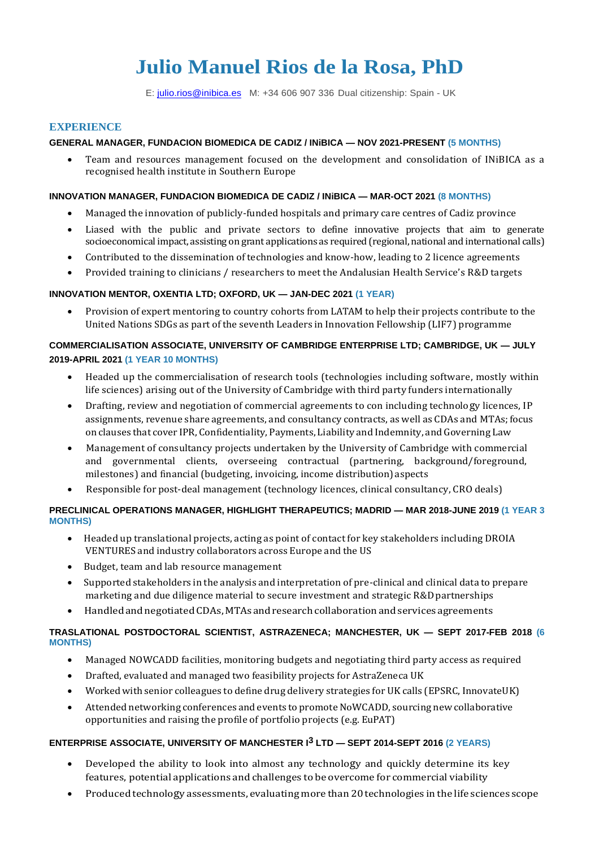# **Julio Manuel Rios de la Rosa, PhD**

E: [julio.rios@inibica.es](mailto:julio.rios@inibica.com) M: +34 606 907 336 Dual citizenship: Spain - UK

#### **EXPERIENCE**

## **GENERAL MANAGER, FUNDACION BIOMEDICA DE CADIZ / INiBICA — NOV 2021-PRESENT (5 MONTHS)**

• Team and resources management focused on the development and consolidation of INiBICA as a recognised health institute in Southern Europe

#### **INNOVATION MANAGER, FUNDACION BIOMEDICA DE CADIZ / INiBICA — MAR-OCT 2021 (8 MONTHS)**

- Managed the innovation of publicly-funded hospitals and primary care centres of Cadiz province
- Liased with the public and private sectors to define innovative projects that aim to generate socioeconomical impact, assisting on grant applications as required (regional, national and international calls)
- Contributed to the dissemination of technologies and know-how, leading to 2 licence agreements
- Provided training to clinicians / researchers to meet the Andalusian Health Service's R&D targets

#### **INNOVATION MENTOR, OXENTIA LTD; OXFORD, UK — JAN-DEC 2021 (1 YEAR)**

• Provision of expert mentoring to country cohorts from LATAM to help their projects contribute to the United Nations SDGs as part of the seventh Leaders in Innovation Fellowship (LIF7) programme

## **COMMERCIALISATION ASSOCIATE, UNIVERSITY OF CAMBRIDGE ENTERPRISE LTD; CAMBRIDGE, UK — JULY 2019-APRIL 2021 (1 YEAR 10 MONTHS)**

- Headed up the commercialisation of research tools (technologies including software, mostly within life sciences) arising out of the University of Cambridge with third party funders internationally
- Drafting, review and negotiation of commercial agreements to con including technology licences, IP assignments, revenue share agreements, and consultancy contracts, as well as CDAs and MTAs; focus on clauses that cover IPR, Confidentiality, Payments, Liability and Indemnity, and Governing Law
- Management of consultancy projects undertaken by the University of Cambridge with commercial and governmental clients, overseeing contractual (partnering, background/foreground, milestones) and financial (budgeting, invoicing, income distribution)aspects
- Responsible for post-deal management (technology licences, clinical consultancy, CRO deals)

## **PRECLINICAL OPERATIONS MANAGER, HIGHLIGHT THERAPEUTICS; MADRID — MAR 2018-JUNE 2019 (1 YEAR 3 MONTHS)**

- Headed up translational projects, acting as point of contact for key stakeholders including DROIA VENTURES and industry collaborators across Europe and the US
- Budget, team and lab resource management
- Supported stakeholders in the analysis and interpretation of pre-clinical and clinical data to prepare marketing and due diligence material to secure investment and strategic R&D partnerships
- Handled and negotiated CDAs, MTAs and research collaboration and services agreements

#### **TRASLATIONAL POSTDOCTORAL SCIENTIST, ASTRAZENECA; MANCHESTER, UK — SEPT 2017-FEB 2018 (6 MONTHS)**

- Managed NOWCADD facilities, monitoring budgets and negotiating third party access as required
- Drafted, evaluated and managed two feasibility projects for AstraZeneca UK
- Workedwith senior colleagues to define drug delivery strategies for UK calls (EPSRC, InnovateUK)
- Attended networking conferences and events to promote NoWCADD, sourcing new collaborative opportunities and raising the profile of portfolio projects (e.g. EuPAT)

# **ENTERPRISE ASSOCIATE, UNIVERSITY OF MANCHESTER I3 LTD — SEPT 2014-SEPT 2016 (2 YEARS)**

- Developed the ability to look into almost any technology and quickly determine its key features, potential applications and challenges to be overcome for commercial viability
- Produced technology assessments, evaluating more than 20 technologies in the life sciences scope